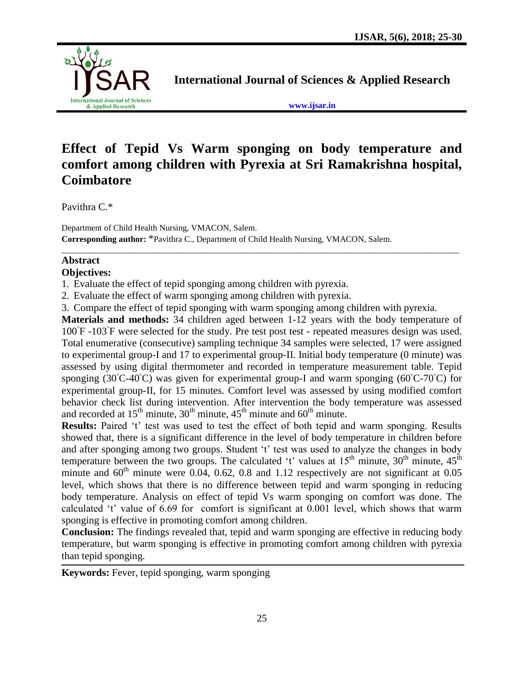

**International Journal of Sciences & Applied Research**

**[www.ijsar.in](http://www.ijsar.in/)**

# **Effect of Tepid Vs Warm sponging on body temperature and comfort among children with Pyrexia at Sri Ramakrishna hospital, Coimbatore**

 $\overline{a_1}$  ,  $\overline{a_2}$  ,  $\overline{a_3}$  ,  $\overline{a_4}$  ,  $\overline{a_5}$  ,  $\overline{a_6}$  ,  $\overline{a_7}$  ,  $\overline{a_8}$  ,  $\overline{a_9}$  ,  $\overline{a_9}$  ,  $\overline{a_9}$  ,  $\overline{a_9}$  ,  $\overline{a_9}$  ,  $\overline{a_9}$  ,  $\overline{a_9}$  ,  $\overline{a_9}$  ,  $\overline{a_9}$  ,

Pavithra C.\*

Department of Child Health Nursing, VMACON, Salem. **Corresponding author:** \*Pavithra C., Department of Child Health Nursing, VMACON, Salem.

## **Abstract**

## **Objectives:**

1. Evaluate the effect of tepid sponging among children with pyrexia.

2. Evaluate the effect of warm sponging among children with pyrexia.

3. Compare the effect of tepid sponging with warm sponging among children with pyrexia.

**Materials and methods:** 34 children aged between 1-12 years with the body temperature of 100<sup>°</sup>F -103<sup>°</sup>F were selected for the study. Pre test post test - repeated measures design was used. Total enumerative (consecutive) sampling technique 34 samples were selected, 17 were assigned to experimental group-I and 17 to experimental group-II. Initial body temperature (0 minute) was assessed by using digital thermometer and recorded in temperature measurement table. Tepid sponging (30**◦**C-40**◦**C) was given for experimental group-I and warm sponging (60**◦**C-70**◦**C) for experimental group-II, for 15 minutes. Comfort level was assessed by using modified comfort behavior check list during intervention. After intervention the body temperature was assessed and recorded at  $15<sup>th</sup>$  minute,  $30<sup>th</sup>$  minute,  $45<sup>th</sup>$  minute and  $60<sup>th</sup>$  minute.

**Results:** Paired 't' test was used to test the effect of both tepid and warm sponging. Results showed that, there is a significant difference in the level of body temperature in children before and after sponging among two groups. Student 't' test was used to analyze the changes in body temperature between the two groups. The calculated 't' values at  $15<sup>th</sup>$  minute,  $30<sup>th</sup>$  minute,  $45<sup>th</sup>$ minute and  $60<sup>th</sup>$  minute were 0.04, 0.62, 0.8 and 1.12 respectively are not significant at 0.05 level, which shows that there is no difference between tepid and warm sponging in reducing body temperature. Analysis on effect of tepid Vs warm sponging on comfort was done. The calculated 't' value of 6.69 for comfort is significant at 0.001 level, which shows that warm sponging is effective in promoting comfort among children.

**Conclusion:** The findings revealed that, tepid and warm sponging are effective in reducing body temperature, but warm sponging is effective in promoting comfort among children with pyrexia than tepid sponging.

**Keywords:** Fever, tepid sponging, warm sponging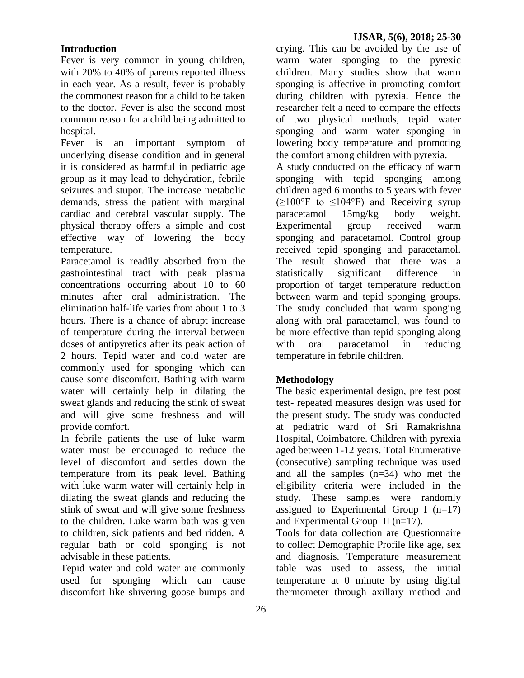### **Introduction**

Fever is very common in young children, with 20% to 40% of parents reported illness in each year. As a result, fever is probably the commonest reason for a child to be taken to the doctor. Fever is also the second most common reason for a child being admitted to hospital.

Fever is an important symptom of underlying disease condition and in general it is considered as harmful in pediatric age group as it may lead to dehydration, febrile seizures and stupor. The increase metabolic demands, stress the patient with marginal cardiac and cerebral vascular supply. The physical therapy offers a simple and cost effective way of lowering the body temperature.

Paracetamol is readily absorbed from the gastrointestinal tract with peak plasma concentrations occurring about 10 to 60 minutes after oral administration. The elimination half-life varies from about 1 to 3 hours. There is a chance of abrupt increase of temperature during the interval between doses of antipyretics after its peak action of 2 hours. Tepid water and cold water are commonly used for sponging which can cause some discomfort. Bathing with warm water will certainly help in dilating the sweat glands and reducing the stink of sweat and will give some freshness and will provide comfort.

In febrile patients the use of luke warm water must be encouraged to reduce the level of discomfort and settles down the temperature from its peak level. Bathing with luke warm water will certainly help in dilating the sweat glands and reducing the stink of sweat and will give some freshness to the children. Luke warm bath was given to children, sick patients and bed ridden. A regular bath or cold sponging is not advisable in these patients.

Tepid water and cold water are commonly used for sponging which can cause discomfort like shivering goose bumps and

crying. This can be avoided by the use of warm water sponging to the pyrexic children. Many studies show that warm sponging is affective in promoting comfort during children with pyrexia. Hence the researcher felt a need to compare the effects of two physical methods, tepid water sponging and warm water sponging in lowering body temperature and promoting the comfort among children with pyrexia. A study conducted on the efficacy of warm sponging with tepid sponging among children aged 6 months to 5 years with fever  $(\geq 100^{\circ}$ F to  $\leq 104^{\circ}$ F) and Receiving syrup

paracetamol 15mg/kg body weight. Experimental group received warm sponging and paracetamol. Control group received tepid sponging and paracetamol. The result showed that there was a statistically significant difference in proportion of target temperature reduction between warm and tepid sponging groups. The study concluded that warm sponging along with oral paracetamol, was found to be more effective than tepid sponging along with oral paracetamol in reducing temperature in febrile children.

### **Methodology**

The basic experimental design, pre test post test- repeated measures design was used for the present study. The study was conducted at pediatric ward of Sri Ramakrishna Hospital, Coimbatore. Children with pyrexia aged between 1-12 years. Total Enumerative (consecutive) sampling technique was used and all the samples (n=34) who met the eligibility criteria were included in the study. These samples were randomly assigned to Experimental Group–I  $(n=17)$ and Experimental Group–II (n=17).

Tools for data collection are Questionnaire to collect Demographic Profile like age, sex and diagnosis. Temperature measurement table was used to assess, the initial temperature at 0 minute by using digital thermometer through axillary method and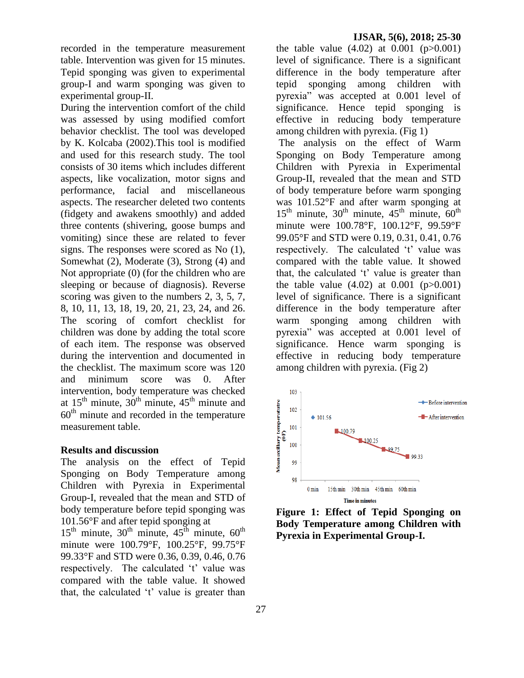recorded in the temperature measurement table. Intervention was given for 15 minutes. Tepid sponging was given to experimental group-I and warm sponging was given to experimental group-II.

During the intervention comfort of the child was assessed by using modified comfort behavior checklist. The tool was developed by K. Kolcaba (2002).This tool is modified and used for this research study. The tool consists of 30 items which includes different aspects, like vocalization, motor signs and performance, facial and miscellaneous aspects. The researcher deleted two contents (fidgety and awakens smoothly) and added three contents (shivering, goose bumps and vomiting) since these are related to fever signs. The responses were scored as No (1), Somewhat (2), Moderate (3), Strong (4) and Not appropriate (0) (for the children who are sleeping or because of diagnosis). Reverse scoring was given to the numbers 2, 3, 5, 7, 8, 10, 11, 13, 18, 19, 20, 21, 23, 24, and 26. The scoring of comfort checklist for children was done by adding the total score of each item. The response was observed during the intervention and documented in the checklist. The maximum score was 120 and minimum score was 0. After intervention, body temperature was checked at  $15<sup>th</sup>$  minute,  $30<sup>th</sup>$  minute,  $45<sup>th</sup>$  minute and  $60<sup>th</sup>$  minute and recorded in the temperature measurement table.

#### **Results and discussion**

The analysis on the effect of Tepid Sponging on Body Temperature among Children with Pyrexia in Experimental Group-I, revealed that the mean and STD of body temperature before tepid sponging was 101.56°F and after tepid sponging at

 $15<sup>th</sup>$  minute,  $30<sup>th</sup>$  minute,  $45<sup>th</sup>$  minute,  $60<sup>th</sup>$ minute were 100.79°F, 100.25°F, 99.75°F 99.33°F and STD were 0.36, 0.39, 0.46, 0.76 respectively. The calculated 't' value was compared with the table value. It showed that, the calculated 't' value is greater than

the table value  $(4.02)$  at  $0.001$   $(p>0.001)$ level of significance. There is a significant difference in the body temperature after tepid sponging among children with pyrexia" was accepted at 0.001 level of significance. Hence tepid sponging is effective in reducing body temperature among children with pyrexia. (Fig 1)

The analysis on the effect of Warm Sponging on Body Temperature among Children with Pyrexia in Experimental Group-II, revealed that the mean and STD of body temperature before warm sponging was 101.52°F and after warm sponging at  $15<sup>th</sup>$  minute,  $30<sup>th</sup>$  minute,  $45<sup>th</sup>$  minute,  $60<sup>th</sup>$ minute were 100.78°F, 100.12°F, 99.59°F 99.05°F and STD were 0.19, 0.31, 0.41, 0.76 respectively. The calculated 't' value was compared with the table value. It showed that, the calculated 't' value is greater than the table value  $(4.02)$  at  $0.001$   $(p>0.001)$ level of significance. There is a significant difference in the body temperature after warm sponging among children with pyrexia" was accepted at 0.001 level of significance. Hence warm sponging is effective in reducing body temperature among children with pyrexia. (Fig 2)



**Figure 1: Effect of Tepid Sponging on Body Temperature among Children with Pyrexia in Experimental Group-I.**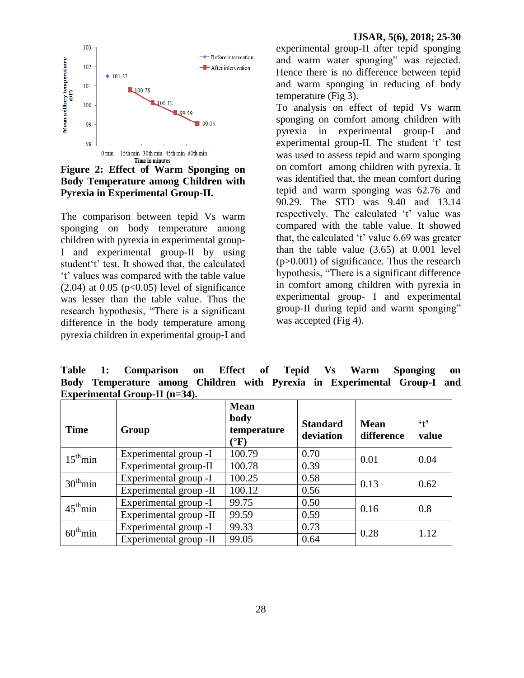

**Figure 2: Effect of Warm Sponging on Body Temperature among Children with Pyrexia in Experimental Group-II.**

The comparison between tepid Vs warm sponging on body temperature among children with pyrexia in experimental group-I and experimental group-II by using student't' test. It showed that, the calculated "t" values was compared with the table value  $(2.04)$  at 0.05 (p<0.05) level of significance was lesser than the table value. Thus the research hypothesis, "There is a significant difference in the body temperature among pyrexia children in experimental group-I and experimental group-II after tepid sponging and warm water sponging" was rejected. Hence there is no difference between tepid and warm sponging in reducing of body temperature (Fig 3).

To analysis on effect of tepid Vs warm sponging on comfort among children with pyrexia in experimental group-I and experimental group-II. The student 't' test was used to assess tepid and warm sponging on comfort among children with pyrexia. It was identified that, the mean comfort during tepid and warm sponging was 62.76 and 90.29. The STD was 9.40 and 13.14 respectively. The calculated 't' value was compared with the table value. It showed that, the calculated  $'t'$  value 6.69 was greater than the table value (3.65) at 0.001 level (p>0.001) of significance. Thus the research hypothesis, "There is a significant difference in comfort among children with pyrexia in experimental group- I and experimental group-II during tepid and warm sponging" was accepted (Fig 4).

**Table 1: Comparison on Effect of Tepid Vs Warm Sponging on Body Temperature among Children with Pyrexia in Experimental Group-I and Experimental Group-II (n=34).**

| <b>Time</b>          | Group                  | <b>Mean</b><br>body<br>temperature<br>$\rm ^{o}F)$ | <b>Standard</b><br>deviation | <b>Mean</b><br>difference | $\mathbf{t}$<br>value |
|----------------------|------------------------|----------------------------------------------------|------------------------------|---------------------------|-----------------------|
| $15^{\text{th}}$ min | Experimental group -I  | 100.79                                             | 0.70                         | 0.01                      | 0.04                  |
|                      | Experimental group-II  | 100.78                                             | 0.39                         |                           |                       |
| $30^{\text{th}}$ min | Experimental group -I  | 100.25                                             | 0.58                         | 0.13                      | 0.62                  |
|                      | Experimental group -II | 100.12                                             | 0.56                         |                           |                       |
| $45^{\text{th}}$ min | Experimental group -I  | 99.75                                              | 0.50                         | 0.16                      | 0.8                   |
|                      | Experimental group -II | 99.59                                              | 0.59                         |                           |                       |
| $60^{\text{th}}$ min | Experimental group -I  | 99.33                                              | 0.73                         | 0.28                      | 1.12                  |
|                      | Experimental group -II | 99.05                                              | 0.64                         |                           |                       |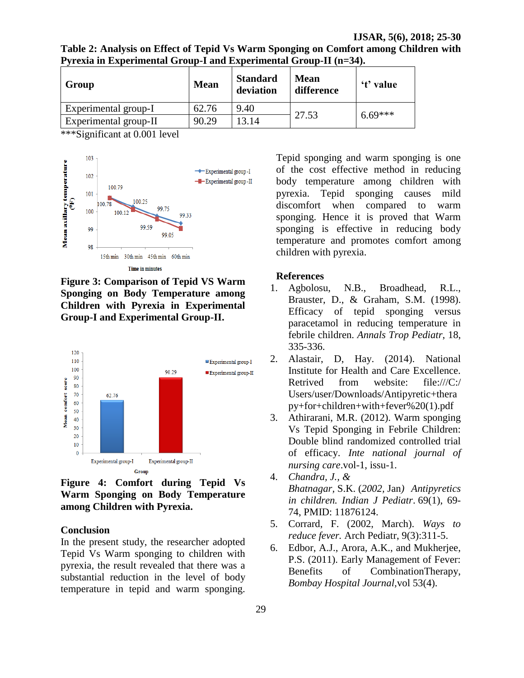**IJSAR, 5(6), 2018; 25-30**

**Table 2: Analysis on Effect of Tepid Vs Warm Sponging on Comfort among Children with Pyrexia in Experimental Group-I and Experimental Group-II (n=34).**

| Group                 | <b>Mean</b> | <b>Standard</b><br>deviation | <b>Mean</b><br>difference | 't' value |  |
|-----------------------|-------------|------------------------------|---------------------------|-----------|--|
| Experimental group-I  | 62.76       | 9.40                         | $6.69***$                 |           |  |
| Experimental group-II | 90.29       | 13.14                        | 27.53                     |           |  |

\*\*\*Significant at 0.001 level



**Figure 3: Comparison of Tepid VS Warm Sponging on Body Temperature among Children with Pyrexia in Experimental Group-I and Experimental Group-II.**



**Figure 4: Comfort during Tepid Vs Warm Sponging on Body Temperature among Children with Pyrexia.**

#### **Conclusion**

In the present study, the researcher adopted Tepid Vs Warm sponging to children with pyrexia, the result revealed that there was a substantial reduction in the level of body temperature in tepid and warm sponging. Tepid sponging and warm sponging is one of the cost effective method in reducing body temperature among children with pyrexia. Tepid sponging causes mild discomfort when compared to warm sponging. Hence it is proved that Warm sponging is effective in reducing body temperature and promotes comfort among children with pyrexia.

#### **References**

- 1. Agbolosu, N.B., Broadhead, R.L., Brauster, D., & Graham, S.M. (1998). Efficacy of tepid sponging versus paracetamol in reducing temperature in febrile children. *Annals Trop Pediatr*, 18, 335-336.
- 2. Alastair, D, Hay. (2014). National Institute for Health and Care Excellence. Retrived from website: file:///C:/ Users/user/Downloads/Antipyretic+thera py+for+children+with+fever%20(1).pdf
- 3. Athirarani, M.R. (2012). Warm sponging Vs Tepid Sponging in Febrile Children: Double blind randomized controlled trial of efficacy. *Inte national journal of nursing care*.vol-1, issu-1.
- 4. *Chandra, J., & Bhatnagar,* S.K. (*2002,* Jan*) Antipyretics in children. Indian J Pediatr*. 69(1), 69- 74, PMID: 11876124.
- 5. Corrard, F. (2002, March). *Ways to reduce fever.* Arch Pediatr, 9(3):311-5.
- 6. Edbor, A.J., Arora, A.K., and Mukherjee, P.S. (2011). Early Management of Fever: Benefits of CombinationTherapy, *Bombay Hospital Journal,*vol 53(4).